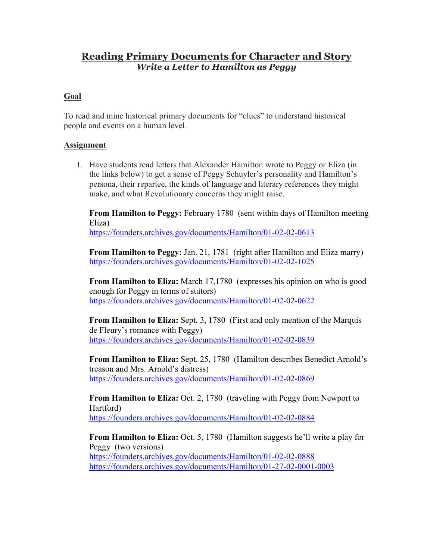## **Reading Primary Documents for Character and Story** *Write a Letter to Hamilton as Peggy*

## **Goal**

To read and mine historical primary documents for "clues" to understand historical people and events on a human level.

## **Assignment**

1. Have students read letters that Alexander Hamilton wrote to Peggy or Eliza (in the links below) to get a sense of Peggy Schuyler's personality and Hamilton's persona, their repartee, the kinds of language and literary references they might make, and what Revolutionary concerns they might raise.

**From Hamilton to Peggy:** February 1780 (sent within days of Hamilton meeting Eliza)

https://founders.archives.gov/documents/Hamilton/01-02-02-0613

**From Hamilton to Peggy:** Jan. 21, 1781 (right after Hamilton and Eliza marry) https://founders.archives.gov/documents/Hamilton/01-02-02-1025

**From Hamilton to Eliza:** March 17,1780 (expresses his opinion on who is good enough for Peggy in terms of suitors) https://founders.archives.gov/documents/Hamilton/01-02-02-0622

**From Hamilton to Eliza:** Sept. 3, 1780 (First and only mention of the Marquis de Fleury's romance with Peggy) https://founders.archives.gov/documents/Hamilton/01-02-02-0839

**From Hamilton to Eliza:** Sept. 25, 1780 (Hamilton describes Benedict Arnold's treason and Mrs. Arnold's distress) https://founders.archives.gov/documents/Hamilton/01-02-02-0869

**From Hamilton to Eliza:** Oct. 2, 1780 (traveling with Peggy from Newport to Hartford) https://founders.archives.gov/documents/Hamilton/01-02-02-0884

**From Hamilton to Eliza:** Oct. 5, 1780 (Hamilton suggests he'll write a play for Peggy (two versions) https://founders.archives.gov/documents/Hamilton/01-02-02-0888 https://founders.archives.gov/documents/Hamilton/01-27-02-0001-0003